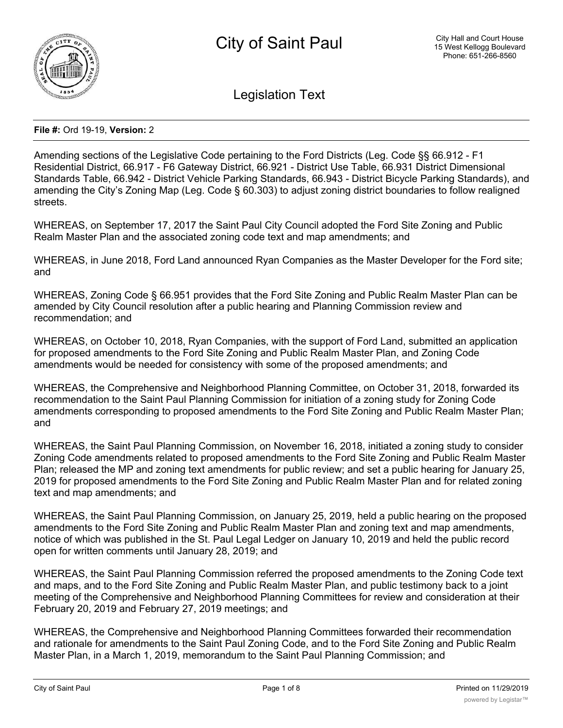

Legislation Text

### **File #:** Ord 19-19, **Version:** 2

Amending sections of the Legislative Code pertaining to the Ford Districts (Leg. Code §§ 66.912 - F1 Residential District, 66.917 - F6 Gateway District, 66.921 - District Use Table, 66.931 District Dimensional Standards Table, 66.942 - District Vehicle Parking Standards, 66.943 - District Bicycle Parking Standards), and amending the City's Zoning Map (Leg. Code § 60.303) to adjust zoning district boundaries to follow realigned streets.

WHEREAS, on September 17, 2017 the Saint Paul City Council adopted the Ford Site Zoning and Public Realm Master Plan and the associated zoning code text and map amendments; and

WHEREAS, in June 2018, Ford Land announced Ryan Companies as the Master Developer for the Ford site; and

WHEREAS, Zoning Code § 66.951 provides that the Ford Site Zoning and Public Realm Master Plan can be amended by City Council resolution after a public hearing and Planning Commission review and recommendation; and

WHEREAS, on October 10, 2018, Ryan Companies, with the support of Ford Land, submitted an application for proposed amendments to the Ford Site Zoning and Public Realm Master Plan, and Zoning Code amendments would be needed for consistency with some of the proposed amendments; and

WHEREAS, the Comprehensive and Neighborhood Planning Committee, on October 31, 2018, forwarded its recommendation to the Saint Paul Planning Commission for initiation of a zoning study for Zoning Code amendments corresponding to proposed amendments to the Ford Site Zoning and Public Realm Master Plan; and

WHEREAS, the Saint Paul Planning Commission, on November 16, 2018, initiated a zoning study to consider Zoning Code amendments related to proposed amendments to the Ford Site Zoning and Public Realm Master Plan; released the MP and zoning text amendments for public review; and set a public hearing for January 25, 2019 for proposed amendments to the Ford Site Zoning and Public Realm Master Plan and for related zoning text and map amendments; and

WHEREAS, the Saint Paul Planning Commission, on January 25, 2019, held a public hearing on the proposed amendments to the Ford Site Zoning and Public Realm Master Plan and zoning text and map amendments, notice of which was published in the St. Paul Legal Ledger on January 10, 2019 and held the public record open for written comments until January 28, 2019; and

WHEREAS, the Saint Paul Planning Commission referred the proposed amendments to the Zoning Code text and maps, and to the Ford Site Zoning and Public Realm Master Plan, and public testimony back to a joint meeting of the Comprehensive and Neighborhood Planning Committees for review and consideration at their February 20, 2019 and February 27, 2019 meetings; and

WHEREAS, the Comprehensive and Neighborhood Planning Committees forwarded their recommendation and rationale for amendments to the Saint Paul Zoning Code, and to the Ford Site Zoning and Public Realm Master Plan, in a March 1, 2019, memorandum to the Saint Paul Planning Commission; and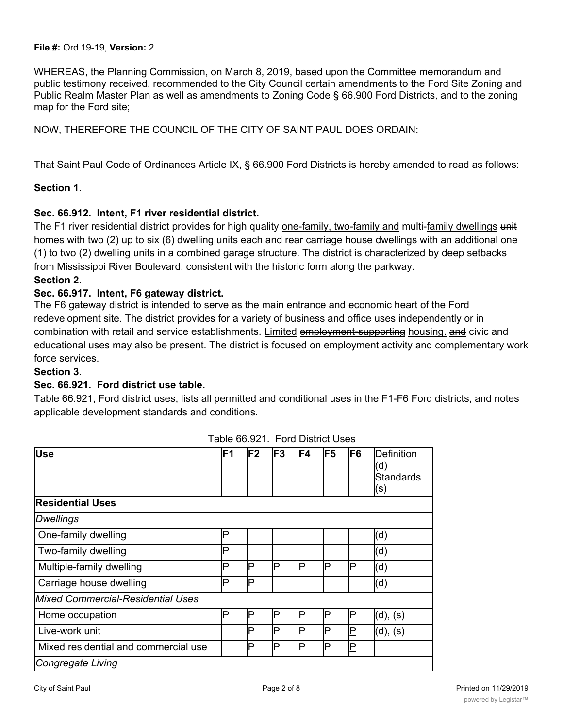WHEREAS, the Planning Commission, on March 8, 2019, based upon the Committee memorandum and public testimony received, recommended to the City Council certain amendments to the Ford Site Zoning and Public Realm Master Plan as well as amendments to Zoning Code § 66.900 Ford Districts, and to the zoning map for the Ford site;

NOW, THEREFORE THE COUNCIL OF THE CITY OF SAINT PAUL DOES ORDAIN:

That Saint Paul Code of Ordinances Article IX, § 66.900 Ford Districts is hereby amended to read as follows:

### **Section 1.**

# **Sec. 66.912. Intent, F1 river residential district.**

The F1 river residential district provides for high quality one-family, two-family and multi-family dwellings unit homes with two (2) up to six (6) dwelling units each and rear carriage house dwellings with an additional one (1) to two (2) dwelling units in a combined garage structure. The district is characterized by deep setbacks from Mississippi River Boulevard, consistent with the historic form along the parkway.

### **Section 2.**

### **Sec. 66.917. Intent, F6 gateway district.**

The F6 gateway district is intended to serve as the main entrance and economic heart of the Ford redevelopment site. The district provides for a variety of business and office uses independently or in combination with retail and service establishments. Limited employment-supporting housing. and civic and educational uses may also be present. The district is focused on employment activity and complementary work force services.

### **Section 3.**

### **Sec. 66.921. Ford district use table.**

Table 66.921, Ford district uses, lists all permitted and conditional uses in the F1-F6 Ford districts, and notes applicable development standards and conditions.

| <b>Use</b>                           | lF1 | lF2      | lF3 | lF4 | lF5 | IF6 | Definition<br>(d)<br><b>Standards</b><br>(s) |
|--------------------------------------|-----|----------|-----|-----|-----|-----|----------------------------------------------|
| <b>Residential Uses</b>              |     |          |     |     |     |     |                                              |
| Dwellings                            |     |          |     |     |     |     |                                              |
| One-family dwelling                  |     |          |     |     |     |     | (d)                                          |
| Two-family dwelling                  | P   |          |     |     |     |     | (d)                                          |
| Multiple-family dwelling             | P   | P        | P   | P   | P   | P   | (d)                                          |
| Carriage house dwelling              | P   | <b>P</b> |     |     |     |     | (d)                                          |
| Mixed Commercial-Residential Uses    |     |          |     |     |     |     |                                              |
| Home occupation                      | P   | P        | P   | P   | P   | P   | (d), (s)                                     |
| Live-work unit                       |     | P        | P   | P   | P   | P   | (d), (s)                                     |
| Mixed residential and commercial use |     | P        | P   | IP  | P   | P   |                                              |
| Congregate Living                    |     |          |     |     |     |     |                                              |

Table 66.921. Ford District Uses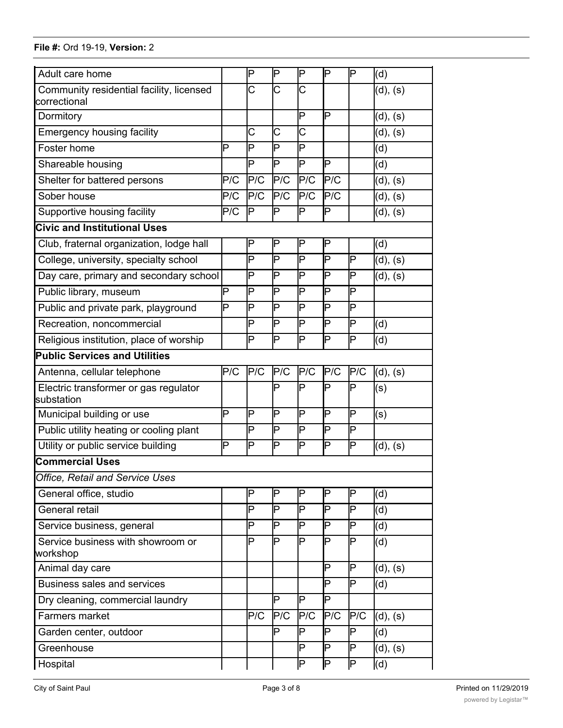*Congregate Living*

| Adult care home                                          |     | P                       | P                       | P                       | P                       | P                       | (d)      |
|----------------------------------------------------------|-----|-------------------------|-------------------------|-------------------------|-------------------------|-------------------------|----------|
| Community residential facility, licensed<br>correctional |     | $\overline{\text{C}}$   | $\overline{\text{C}}$   | $\overline{\text{C}}$   |                         |                         | (d), (s) |
| Dormitory                                                |     |                         |                         | P                       | P                       |                         | (d), (s) |
| <b>Emergency housing facility</b>                        |     | Ć                       | $\overline{\text{C}}$   | Ć                       |                         |                         | (d), (s) |
| Foster home                                              | P   | P                       | P                       | $\overline{\mathsf{P}}$ |                         |                         | (d)      |
| Shareable housing                                        |     | $\overline{\mathsf{P}}$ | $\overline{\mathsf{P}}$ | $\overline{\mathsf{P}}$ | b                       |                         | (d)      |
| Shelter for battered persons                             | P/C | P/C                     | P/C                     | P/C                     | P/C                     |                         | (d), (s) |
| Sober house                                              | P/C | P/C                     | P/C                     | P/C                     | P/C                     |                         | (d), (s) |
| Supportive housing facility                              | P/C | IP                      | P                       | P                       | P                       |                         | (d), (s) |
| <b>Civic and Institutional Uses</b>                      |     |                         |                         |                         |                         |                         |          |
| Club, fraternal organization, lodge hall                 |     | P                       | P                       | P                       | P                       |                         | (d)      |
| College, university, specialty school                    |     | $\overline{\mathsf{P}}$ | $\overline{\mathsf{P}}$ | $\overline{\mathsf{P}}$ | $\overline{\mathsf{P}}$ | P                       | (d), (s) |
| Day care, primary and secondary school                   |     | P                       | P                       | P                       | P                       | P                       | (d), (s) |
| Public library, museum                                   | P   | P                       | P                       | P                       | $\overline{P}$          | P                       |          |
| Public and private park, playground                      | Þ   | P                       | Þ                       | Þ                       | P                       | Þ                       |          |
| Recreation, noncommercial                                |     | $\overline{\mathsf{P}}$ | $\overline{\mathsf{P}}$ | $\overline{\mathsf{P}}$ | $\overline{\mathsf{P}}$ | $\overline{\mathsf{P}}$ | (d)      |
| Religious institution, place of worship                  |     | P                       | $\overline{\mathsf{P}}$ | $\overline{\mathsf{P}}$ | $\overline{\mathsf{P}}$ | $\overline{\mathsf{P}}$ | (d)      |
| <b>Public Services and Utilities</b>                     |     |                         |                         |                         |                         |                         |          |
| Antenna, cellular telephone                              | P/C | P/C                     | P/C                     | P/C                     | P/C                     | P/C                     | (d), (s) |
| Electric transformer or gas regulator<br>substation      |     |                         | P                       | P                       | P                       | P                       | (s)      |
| Municipal building or use                                | P   | P                       | P                       | P                       | P                       | P                       | (s)      |
| Public utility heating or cooling plant                  |     | P                       | Þ                       | P                       | P                       | P                       |          |
| Utility or public service building                       | P   | Þ                       | Þ                       | P                       | P                       | Þ                       | (d), (s) |
| <b>Commercial Uses</b>                                   |     |                         |                         |                         |                         |                         |          |
| Office, Retail and Service Uses                          |     |                         |                         |                         |                         |                         |          |
| General office, studio                                   |     | P                       | P                       | P                       | P                       | P                       | (d)      |
| <b>General retail</b>                                    |     | Þ                       | Þ                       | P                       | P                       | P                       | (d)      |
| Service business, general                                |     | Þ                       | Þ                       | Þ                       | P                       | Þ                       | (d)      |
| Service business with showroom or<br>workshop            |     | P                       | P                       | $\overline{\mathsf{P}}$ | P                       | P                       | (d)      |
| Animal day care                                          |     |                         |                         |                         | P                       | P                       | (d), (s) |
| <b>Business sales and services</b>                       |     |                         |                         |                         | P                       | Þ                       | (d)      |
| Dry cleaning, commercial laundry                         |     |                         | P                       | P                       | P                       |                         |          |
| Farmers market                                           |     | P/C                     | P/C                     | P/C                     | P/C                     | P/C                     | (d), (s) |
| Garden center, outdoor                                   |     |                         | P                       | P                       | P                       | P                       | (d)      |
| Greenhouse                                               |     |                         |                         | P                       | P                       | Þ                       | (d), (s) |
| Hospital                                                 |     |                         |                         | P                       | ΙP                      | $\overline{\mathsf{P}}$ | (d)      |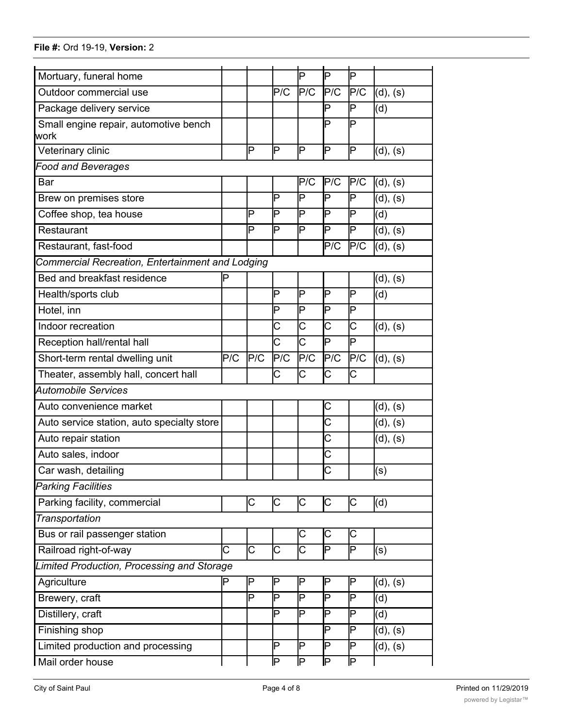| Mortuary, funeral home                           |     |                         |                         | P                       | P                       | Þ                       |          |
|--------------------------------------------------|-----|-------------------------|-------------------------|-------------------------|-------------------------|-------------------------|----------|
| Outdoor commercial use                           |     |                         | P/C                     | P/C                     | P/C                     | P/C                     | (d), (s) |
| Package delivery service                         |     |                         |                         |                         | P                       | P                       | (d)      |
| Small engine repair, automotive bench            |     |                         |                         |                         | P                       | P                       |          |
| work                                             |     |                         |                         |                         |                         |                         |          |
| Veterinary clinic                                |     | Þ                       | Þ                       | P                       | P                       | P                       | (d), (s) |
| <b>Food and Beverages</b>                        |     |                         |                         |                         |                         |                         |          |
| Bar                                              |     |                         |                         | P/C                     | P/C                     | P/C                     | (d), (s) |
| Brew on premises store                           |     |                         | Þ                       | P                       | P                       | P                       | (d), (s) |
| Coffee shop, tea house                           |     | P                       | Þ                       | Þ                       | P                       | Þ                       | (d)      |
| Restaurant                                       |     | P                       | $\overline{\mathsf{P}}$ | P                       | P                       | $\overline{\mathsf{P}}$ | (d), (s) |
| Restaurant, fast-food                            |     |                         |                         |                         | P/C                     | P/C                     | (d), (s) |
| Commercial Recreation, Entertainment and Lodging |     |                         |                         |                         |                         |                         |          |
| Bed and breakfast residence                      | P   |                         |                         |                         |                         |                         | (d), (s) |
| Health/sports club                               |     |                         | P                       | P                       | P                       | Þ                       | (d)      |
| Hotel, inn                                       |     |                         | P                       | $\overline{\mathsf{P}}$ | P                       | P                       |          |
| Indoor recreation                                |     |                         | C                       | C                       | Ć                       | Ć                       | (d), (s) |
| Reception hall/rental hall                       |     |                         | $\overline{\text{c}}$   | $\overline{\text{c}}$   | P                       | $\overline{P}$          |          |
| Short-term rental dwelling unit                  | P/C | P/C                     | P/C                     | P/C                     | P/C                     | P/C                     | (d), (s) |
| Theater, assembly hall, concert hall             |     |                         | С                       | C                       | С                       | Ć                       |          |
| <b>Automobile Services</b>                       |     |                         |                         |                         |                         |                         |          |
| Auto convenience market                          |     |                         |                         |                         | С                       |                         | (d), (s) |
| Auto service station, auto specialty store       |     |                         |                         |                         | $\overline{\text{c}}$   |                         | (d), (s) |
| Auto repair station                              |     |                         |                         |                         | Ć                       |                         | (d), (s) |
| Auto sales, indoor                               |     |                         |                         |                         | Ć                       |                         |          |
| Car wash, detailing                              |     |                         |                         |                         | $\overline{\text{C}}$   |                         | (s)      |
| <b>Parking Facilities</b>                        |     |                         |                         |                         |                         |                         |          |
| Parking facility, commercial                     |     | С                       | C                       | С                       | С                       | С                       | (d)      |
| Transportation                                   |     |                         |                         |                         |                         |                         |          |
| Bus or rail passenger station                    |     |                         |                         | С                       | С                       | C                       |          |
| Railroad right-of-way                            | C   | $\overline{\mathsf{C}}$ | $\overline{\text{C}}$   | $\overline{\text{c}}$   | $\overline{\mathsf{P}}$ | $\overline{\mathsf{P}}$ | (s)      |
| Limited Production, Processing and Storage       |     |                         |                         |                         |                         |                         |          |
| Agriculture                                      | P   | ΙP                      | ΙP                      | P                       | P                       | ΙP                      | (d), (s) |
| Brewery, craft                                   |     | Þ                       | Þ                       | P                       | P                       | Þ                       | (d)      |
| Distillery, craft                                |     |                         | P                       | Þ                       | P                       | Þ                       | (d)      |
| Finishing shop                                   |     |                         |                         |                         | P                       | P                       | (d), (s) |
| Limited production and processing                |     |                         | P                       | P                       | P                       | P                       | (d), (s) |
| Mail order house                                 |     |                         | ╔                       | ╔                       | ΙP                      | ╔                       |          |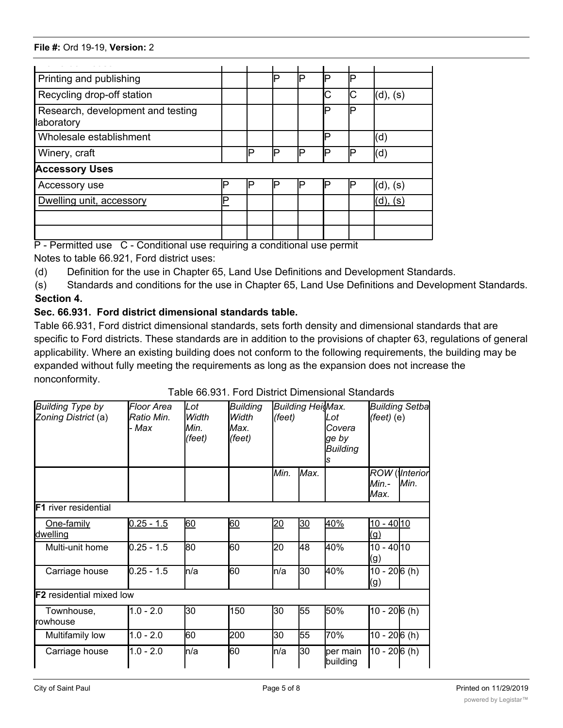| Printing and publishing                         |   |    |    | D | E | ▫  |          |
|-------------------------------------------------|---|----|----|---|---|----|----------|
| Recycling drop-off station                      |   |    |    |   |   | IС | (d), (s) |
| Research, development and testing<br>laboratory |   |    |    |   | D | D  |          |
| Wholesale establishment                         |   |    |    |   | D |    | (d)      |
| Winery, craft                                   |   | IÞ | םו | D | Е | Þ  | (d)      |
| <b>Accessory Uses</b>                           |   |    |    |   |   |    |          |
| Accessory use                                   | ◻ | □  |    | □ |   |    | (d), (s) |
| Dwelling unit, accessory                        | D |    |    |   |   |    | (S       |
|                                                 |   |    |    |   |   |    |          |
|                                                 |   |    |    |   |   |    |          |

P - Permitted use C - Conditional use requiring a conditional use permit

Notes to table 66.921, Ford district uses:

(d) Definition for the use in Chapter 65, Land Use Definitions and Development Standards.

(s) Standards and conditions for the use in Chapter 65, Land Use Definitions and Development Standards. **Section 4.**

# **Sec. 66.931. Ford district dimensional standards table.**

Table 66.931, Ford district dimensional standards, sets forth density and dimensional standards that are specific to Ford districts. These standards are in addition to the provisions of chapter 63, regulations of general applicability. Where an existing building does not conform to the following requirements, the building may be expanded without fully meeting the requirements as long as the expansion does not increase the nonconformity.

| <b>Building Type by</b><br>Zoning District (a) | Floor Area<br>Ratio Min.<br>- Max | Lot<br>Width<br>Min.<br>(feet) | <b>Building</b><br>Width<br>lMax.<br>$(\text{feet})$ | (feet) | <b>Building HeisMax.</b> | Lot<br>Covera<br>ge by<br><b>Building</b> | <b>Building Setba</b><br>$(feet)$ (e) |                   |
|------------------------------------------------|-----------------------------------|--------------------------------|------------------------------------------------------|--------|--------------------------|-------------------------------------------|---------------------------------------|-------------------|
|                                                |                                   |                                |                                                      | Min.   | Max.                     |                                           | ROW<br>Min.-<br>Max.                  | (Interior<br>Min. |
| <b>F1</b> river residential                    |                                   |                                |                                                      |        |                          |                                           |                                       |                   |
| One-family<br>dwelling                         | $0.25 - 1.5$                      | 60                             | 60                                                   | 20     | 30                       | 40%                                       | $10 - 4010$<br>(g)                    |                   |
| Multi-unit home                                | $0.25 - 1.5$                      | 80                             | 60                                                   | 20     | 48                       | 40%                                       | 10 - 40 10<br>(g)                     |                   |
| Carriage house                                 | $0.25 - 1.5$                      | n/a                            | 60                                                   | ln/a   | 30                       | 40%                                       | $10 - 206(h)$<br>(g)                  |                   |
| <b>IF2</b> residential mixed low               |                                   |                                |                                                      |        |                          |                                           |                                       |                   |
| Townhouse,<br><b>Irowhouse</b>                 | $1.0 - 2.0$                       | 30                             | 150                                                  | 30     | 55                       | 50%                                       | 10 - 206 (h)                          |                   |
| Multifamily low                                | $1.0 - 2.0$                       | 60                             | 200                                                  | 30     | 55                       | 70%                                       | $10 - 206(h)$                         |                   |
| Carriage house                                 | $1.0 - 2.0$                       | n/a                            | 60                                                   | n/a    | 30                       | ber main<br>building                      | 10 - 20 6 (h)                         |                   |

Live/work 1.0 - 2.0 30 150 30 55 70% 5 - 20 6 (h)

# Table 66.931. Ford District Dimensional Standards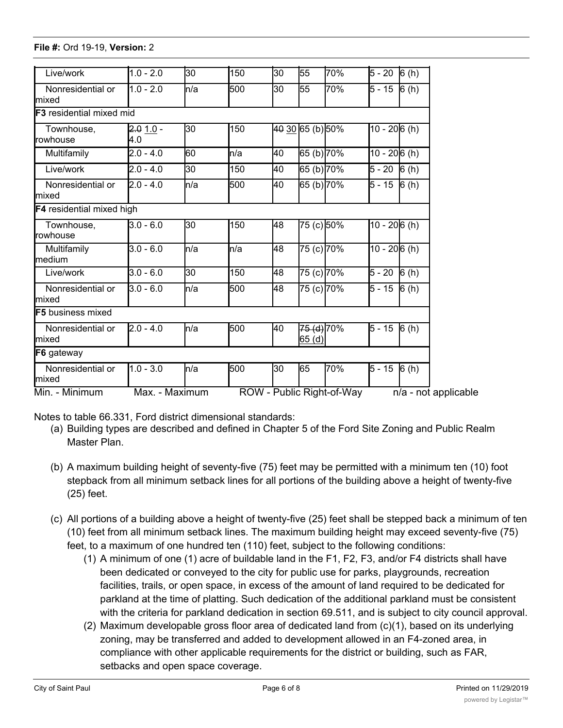| Live/work                          | $1.0 - 2.0$       | 30           | 150  | 30                        | 55                  | 70% | $5 - 20$            | $\overline{6}$ (h)   |
|------------------------------------|-------------------|--------------|------|---------------------------|---------------------|-----|---------------------|----------------------|
| Nonresidential or<br>mixed         | $1.0 - 2.0$       | n/a          | 500  | 30                        | 55                  | 70% | 5 - 15              | $\overline{6}$ (h)   |
| <b>IF3</b> residential mixed mid   |                   |              |      |                           |                     |     |                     |                      |
| Townhouse,<br>rowhouse             | $2.01.0 -$<br>4.0 | 30           | 150  |                           | 40 30 65 (b) 50%    |     | $10 - 206(h)$       |                      |
| Multifamily                        | $2.0 - 4.0$       | 60           | ln/a | 40                        | 65 (b) 70%          |     | $10 - 206(h)$       |                      |
| Live/work                          | $2.0 - 4.0$       | 30           | 150  | 40                        | 65 (b) 70%          |     | $5 - 20$            | 6(h)                 |
| Nonresidential or<br>mixed         | $2.0 - 4.0$       | n/a          | 500  | 40                        | 65 (b) 70%          |     | $\overline{5}$ - 15 | 6(h)                 |
| <b>F4</b> residential mixed high   |                   |              |      |                           |                     |     |                     |                      |
| Townhouse,<br>rowhouse             | 3.0 - 6.0         | 30           | 150  | 48                        | 75 (c) 50%          |     | $10 - 206(h)$       |                      |
| Multifamily<br>Imedium             | $3.0 - 6.0$       | n/a          | ln/a | 48                        | 75 (c) 70%          |     | $10 - 206(h)$       |                      |
| Live/work                          | $3.0 - 6.0$       | 30           | 150  | 48                        | 75 (c) 70%          |     | $5 - 20$            | 6(h)                 |
| Nonresidential or<br>mixed         | 3.0 - 6.0         | n/a          | 500  | 48                        | 75 (c) 70%          |     | $5 - 15$            | 6(h)                 |
| <b>IF5</b> business mixed          |                   |              |      |                           |                     |     |                     |                      |
| Nonresidential or<br>mixed         | $2.0 - 4.0$       | <b>l</b> n/a | 500  | 40                        | 75 (d) 70%<br>65(d) |     | $5 - 15$ 6 (h)      |                      |
| F6 gateway                         |                   |              |      |                           |                     |     |                     |                      |
| Nonresidential or<br><b>Imixed</b> | $1.0 - 3.0$       | <b>l</b> n/a | 500  | 30                        | 65                  | 70% | $5 - 15$ 6 (h)      |                      |
| Min. - Minimum                     | Max. - Maximum    |              |      | ROW - Public Right-of-Way |                     |     |                     | n/a - not applicable |

Multifamily low  $1.0$  -  $2.0$   $\pm$  2.0  $\pm$  2.0  $\pm$  2.0  $\pm$  2.0  $\pm$  2.0  $\pm$  2.0  $\pm$  2.0  $\pm$ 

Notes to table 66.331, Ford district dimensional standards:

- (a) Building types are described and defined in Chapter 5 of the Ford Site Zoning and Public Realm Master Plan.
- (b) A maximum building height of seventy-five (75) feet may be permitted with a minimum ten (10) foot stepback from all minimum setback lines for all portions of the building above a height of twenty-five (25) feet.
- (c) All portions of a building above a height of twenty-five (25) feet shall be stepped back a minimum of ten (10) feet from all minimum setback lines. The maximum building height may exceed seventy-five (75) feet, to a maximum of one hundred ten (110) feet, subject to the following conditions:
	- (1) A minimum of one (1) acre of buildable land in the F1, F2, F3, and/or F4 districts shall have been dedicated or conveyed to the city for public use for parks, playgrounds, recreation facilities, trails, or open space, in excess of the amount of land required to be dedicated for parkland at the time of platting. Such dedication of the additional parkland must be consistent with the criteria for parkland dedication in section 69.511, and is subject to city council approval.
	- (2) Maximum developable gross floor area of dedicated land from (c)(1), based on its underlying zoning, may be transferred and added to development allowed in an F4-zoned area, in compliance with other applicable requirements for the district or building, such as FAR, setbacks and open space coverage.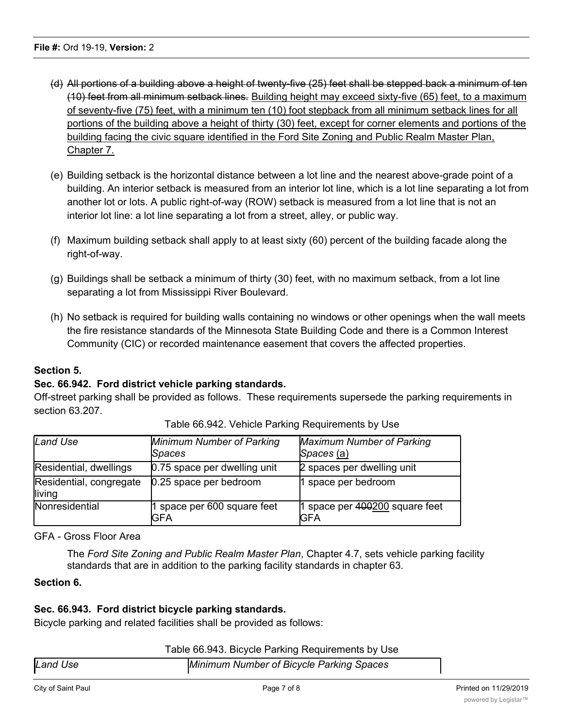- (d) All portions of a building above a height of twenty-five (25) feet shall be stepped back a minimum of ten (10) feet from all minimum setback lines. Building height may exceed sixty-five (65) feet, to a maximum of seventy-five (75) feet, with a minimum ten (10) foot stepback from all minimum setback lines for all portions of the building above a height of thirty (30) feet, except for corner elements and portions of the building facing the civic square identified in the Ford Site Zoning and Public Realm Master Plan, Chapter 7.
- (e) Building setback is the horizontal distance between a lot line and the nearest above-grade point of a building. An interior setback is measured from an interior lot line, which is a lot line separating a lot from another lot or lots. A public right-of-way (ROW) setback is measured from a lot line that is not an interior lot line: a lot line separating a lot from a street, alley, or public way.
- (f) Maximum building setback shall apply to at least sixty (60) percent of the building facade along the right-of-way.
- (g) Buildings shall be setback a minimum of thirty (30) feet, with no maximum setback, from a lot line separating a lot from Mississippi River Boulevard.
- (h) No setback is required for building walls containing no windows or other openings when the wall meets the fire resistance standards of the Minnesota State Building Code and there is a Common Interest Community (CIC) or recorded maintenance easement that covers the affected properties.

# **Section 5.**

# **Sec. 66.942. Ford district vehicle parking standards.**

Off-street parking shall be provided as follows. These requirements supersede the parking requirements in section 63.207.

| Land Use                          | <b>Minimum Number of Parking</b><br>Spaces | <b>Maximum Number of Parking</b><br>Spaces (a) |
|-----------------------------------|--------------------------------------------|------------------------------------------------|
| Residential, dwellings            | 0.75 space per dwelling unit               | 2 spaces per dwelling unit                     |
| Residential, congregate<br>living | 0.25 space per bedroom                     | 1 space per bedroom                            |
| <b>Nonresidential</b>             | 1 space per 600 square feet<br>GFA         | 1 space per 400200 square feet<br>IGFA         |

Table 66.942. Vehicle Parking Requirements by Use

GFA - Gross Floor Area

The *Ford Site Zoning and Public Realm Master Plan*, Chapter 4.7, sets vehicle parking facility standards that are in addition to the parking facility standards in chapter 63.

### **Section 6.**

# **Sec. 66.943. Ford district bicycle parking standards.**

Bicycle parking and related facilities shall be provided as follows:

| Table 66.943. Bicycle Parking Requirements by Use |  |  |
|---------------------------------------------------|--|--|
|                                                   |  |  |

| Land Use | Minimum Number of Bicycle Parking Spaces |  |  |  |
|----------|------------------------------------------|--|--|--|
|          |                                          |  |  |  |
|          |                                          |  |  |  |